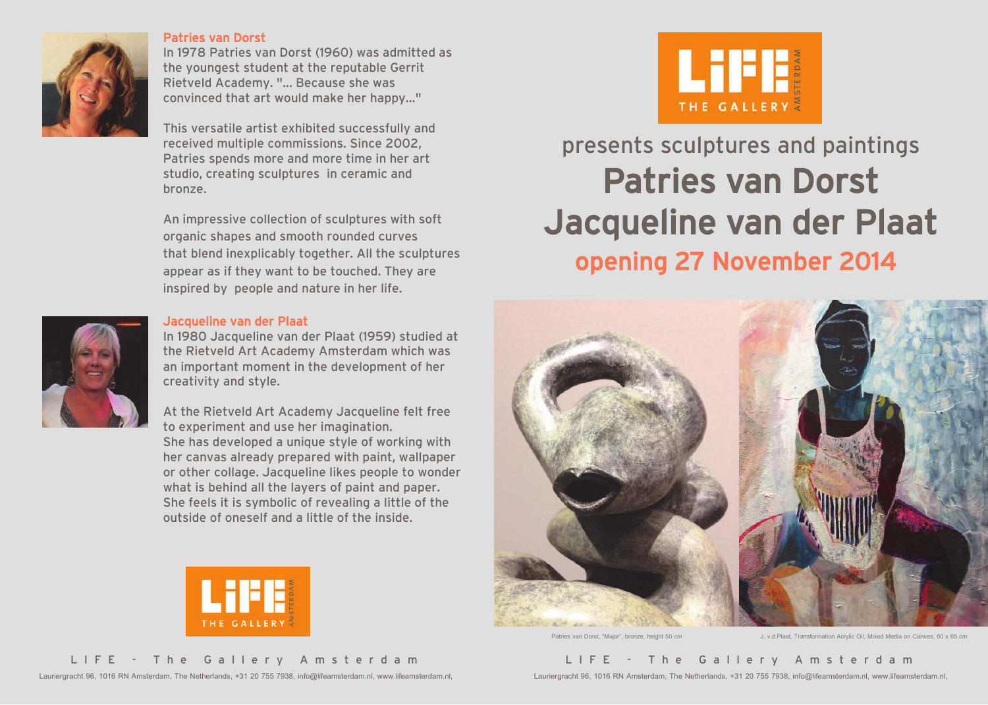

#### Patries van Dorst

In 1978 Patries van Dorst (1960) was admitted as the youngest student at the reputable Gerrit Rietveld Academy. "... Because she was convinced that art would make her happy…"

This versatile artist exhibited successfully and received multiple commissions. Since 2002, Patries spends more and more time in her art studio, creating sculptures in ceramic and bronze.

An impressive collection of sculptures with soft organic shapes and smooth rounded curves that blend inexplicably together. All the sculptures appear as if they want to be touched. They are inspired by people and nature in her life.

### Jacqueline van der Plaat

In 1980 Jacqueline van der Plaat (1959) studied at the Rietveld Art Academy Amsterdam which was an important moment in the development of her creativity and style.

At the Rietveld Art Academy Jacqueline felt free to experiment and use her imagination. She has developed a unique style of working with her canvas already prepared with paint, wallpaper or other collage. Jacqueline likes people to wonder what is behind all the layers of paint and paper. She feels it is symbolic of revealing a little of the outside of oneself and a little of the inside.





THE GALLERY

## presents sculptures and paintings Patries van Dorst Jacqueline van der Plaat opening 27 November 2014



Patries van Dorst, "Major", bronze, height 50 cm J. v.d.Plaat, Transformation Acrylic Oil, Mixed Media on Canvas, 60 x 65 cm

### L I F E - T h e G a l l e r y A m s t e r d a m

Lauriergracht 96, 1016 RN Amsterdam, The Netherlands, +31 20 755 7938, info@lifeamsterdam.nl, www.lifeamsterdam.nl,